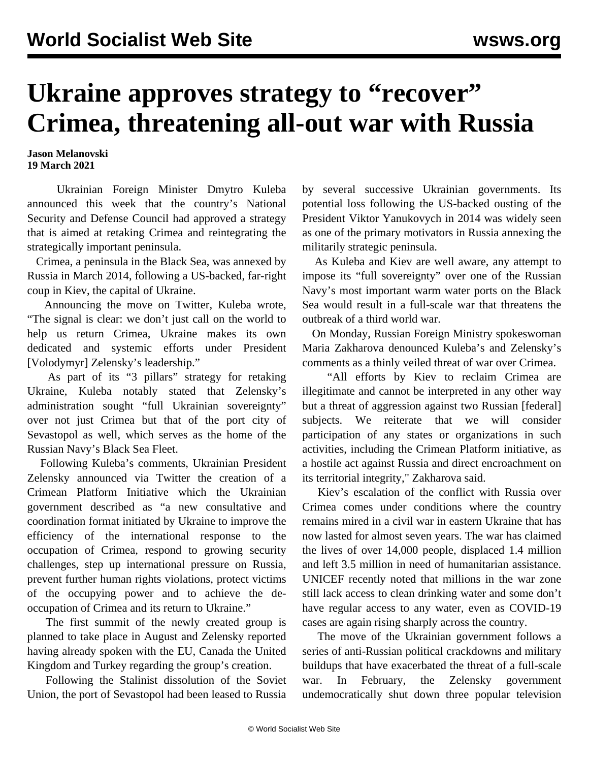## **Ukraine approves strategy to "recover" Crimea, threatening all-out war with Russia**

**Jason Melanovski 19 March 2021**

 Ukrainian Foreign Minister Dmytro Kuleba announced this week that the country's National Security and Defense Council had approved a strategy that is aimed at retaking Crimea and reintegrating the strategically important peninsula.

 Crimea, a peninsula in the Black Sea, was annexed by Russia in March 2014, following a US-backed, far-right coup in Kiev, the capital of Ukraine.

 Announcing the move on Twitter, Kuleba wrote, "The signal is clear: we don't just call on the world to help us return Crimea, Ukraine makes its own dedicated and systemic efforts under President [Volodymyr] Zelensky's leadership."

 As part of its "3 pillars" strategy for retaking Ukraine, Kuleba notably stated that Zelensky's administration sought "full Ukrainian sovereignty" over not just Crimea but that of the port city of Sevastopol as well, which serves as the home of the Russian Navy's Black Sea Fleet.

 Following Kuleba's comments, Ukrainian President Zelensky announced via Twitter the creation of a Crimean Platform Initiative which the Ukrainian government described as "a new consultative and coordination format initiated by Ukraine to improve the efficiency of the international response to the occupation of Crimea, respond to growing security challenges, step up international pressure on Russia, prevent further human rights violations, protect victims of the occupying power and to achieve the deoccupation of Crimea and its return to Ukraine."

 The first summit of the newly created group is planned to take place in August and Zelensky reported having already spoken with the EU, Canada the United Kingdom and Turkey regarding the group's creation.

 Following the Stalinist dissolution of the Soviet Union, the port of Sevastopol had been leased to Russia

by several successive Ukrainian governments. Its potential loss following the US-backed ousting of the President Viktor Yanukovych in 2014 was widely seen as one of the primary motivators in Russia annexing the militarily strategic peninsula.

 As Kuleba and Kiev are well aware, any attempt to impose its "full sovereignty" over one of the Russian Navy's most important warm water ports on the Black Sea would result in a full-scale war that threatens the outbreak of a third world war.

 On Monday, Russian Foreign Ministry spokeswoman Maria Zakharova denounced Kuleba's and Zelensky's comments as a thinly veiled threat of war over Crimea.

 "All efforts by Kiev to reclaim Crimea are illegitimate and cannot be interpreted in any other way but a threat of aggression against two Russian [federal] subjects. We reiterate that we will consider participation of any states or organizations in such activities, including the Crimean Platform initiative, as a hostile act against Russia and direct encroachment on its territorial integrity," Zakharova said.

 Kiev's escalation of the conflict with Russia over Crimea comes under conditions where the country remains mired in a civil war in eastern Ukraine that has now lasted for almost seven years. The war has claimed the lives of over 14,000 people, displaced 1.4 million and left 3.5 million in need of humanitarian assistance. UNICEF recently noted that millions in the war zone still lack access to clean drinking water and some don't have regular access to any water, even as COVID-19 cases are again rising sharply across the country.

 The move of the Ukrainian government follows a series of anti-Russian political crackdowns and military buildups that have exacerbated the threat of a full-scale war. In February, the Zelensky government undemocratically shut down three popular television